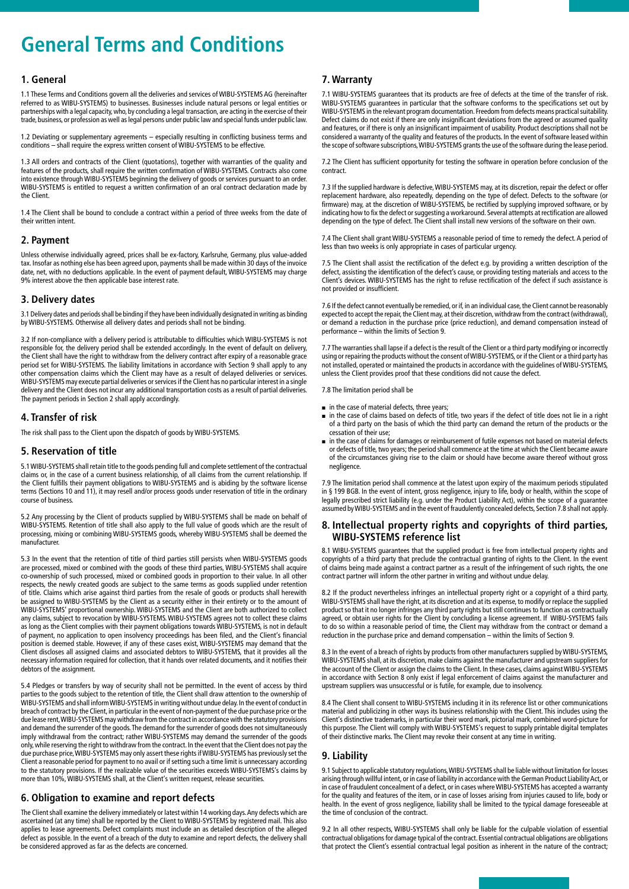# **General Terms and Conditions**

## **1. General**

1.1 These Terms and Conditions govern all the deliveries and services of WIBU-SYSTEMS AG (hereinafter referred to as WIBU-SYSTEMS) to businesses. Businesses include natural persons or legal entities or partnerships with a legal capacity, who, by concluding a legal transaction, are acting in the exercise of their trade, business, or profession as well as legal persons under public law and special funds under public law.

1.2 Deviating or supplementary agreements – especially resulting in conflicting business terms and conditions – shall require the express written consent of WIBU-SYSTEMS to be effective.

1.3 All orders and contracts of the Client (quotations), together with warranties of the quality and features of the products, shall require the written confirmation of WIBU-SYSTEMS. Contracts also come into existence through WIBU-SYSTEMS beginning the delivery of goods or services pursuant to an order. WIBU-SYSTEMS is entitled to request a written confirmation of an oral contract declaration made by the Client.

1.4 The Client shall be bound to conclude a contract within a period of three weeks from the date of their written intent.

#### **2. Payment**

Unless otherwise individually agreed, prices shall be ex-factory, Karlsruhe, Germany, plus value-added tax. Insofar as nothing else has been agreed upon, payments shall be made within 30 days of the invoice date, net, with no deductions applicable. In the event of payment default, WIBU-SYSTEMS may charge 9% interest above the then applicable base interest rate.

## **3. Delivery dates**

3.1 Delivery dates and periods shall be binding if they have been individually designated in writing as binding by WIBU-SYSTEMS. Otherwise all delivery dates and periods shall not be binding.

3.2 If non-compliance with a delivery period is attributable to difficulties which WIBU-SYSTEMS is not responsible for, the delivery period shall be extended accordingly. In the event of default on delivery, the Client shall have the right to withdraw from the delivery contract after expiry of a reasonable grace period set for WIBU-SYSTEMS. The liability limitations in accordance with Section 9 shall apply to any other compensation claims which the Client may have as a result of delayed deliveries or services. WIBU-SYSTEMS may execute partial deliveries or services if the Client has no particular interest in a single delivery and the Client does not incur any additional transportation costs as a result of partial deliveries. The payment periods in Section 2 shall apply accordingly.

## **4. Transfer of risk**

The risk shall pass to the Client upon the dispatch of goods by WIBU-SYSTEMS.

## **5. Reservation of title**

5.1 WIBU-SYSTEMS shall retain title to the goods pending full and complete settlement of the contractual claims or, in the case of a current business relationship, of all claims from the current relationship. If the Client fulfills their payment obligations to WIBU-SYSTEMS and is abiding by the software license terms (Sections 10 and 11), it may resell and/or process goods under reservation of title in the ordinary course of business.

5.2 Any processing by the Client of products supplied by WIBU-SYSTEMS shall be made on behalf of WIBU-SYSTEMS. Retention of title shall also apply to the full value of goods which are the result of processing, mixing or combining WIBU-SYSTEMS goods, whereby WIBU-SYSTEMS shall be deemed the manufacturer.

5.3 In the event that the retention of title of third parties still persists when WIBU-SYSTEMS goods are processed, mixed or combined with the goods of these third parties, WIBU-SYSTEMS shall acquire co-ownership of such processed, mixed or combined goods in proportion to their value. In all other respects, the newly created goods are subject to the same terms as goods supplied under retention of title. Claims which arise against third parties from the resale of goods or products shall herewith be assigned to WIBU-SYSTEMS by the Client as a security either in their entirety or to the amount of WIBU-SYSTEMS' proportional ownership. WIBU-SYSTEMS and the Client are both authorized to collect any claims, subject to revocation by WIBU-SYSTEMS. WIBU-SYSTEMS agrees not to collect these claims as long as the Client complies with their payment obligations towards WIBU-SYSTEMS, is not in default of payment, no application to open insolvency proceedings has been filed, and the Client's financial position is deemed stable. However, if any of these cases exist, WIBU-SYSTEMS may demand that the Client discloses all assigned claims and associated debtors to WIBU-SYSTEMS, that it provides all the necessary information required for collection, that it hands over related documents, and it notifies their debtors of the assignment.

5.4 Pledges or transfers by way of security shall not be permitted. In the event of access by third<br>parties to the goods subject to the retention of title, the Client shall draw attention to the ownership of<br>WIBU-SYSTEMS a breach of contract by the Client, in particular in the event of non-payment of the due purchase price or the due lease rent, WIBU-SYSTEMS may withdraw from the contract in accordance with the statutory provisions and demand the surrender of the goods. The demand for the surrender of goods does not simultaneously imply withdrawal from the contract; rather WIBU-SYSTEMS may demand the surrender of the goods only, while reserving the right to withdraw from the contract. In the event that the Client does not pay the due purchase price, WIBU-SYSTEMS may only assert these rights if WIBU-SYSTEMS has previously set the Client a reasonable period for payment to no avail or if setting such a time limit is unnecessary according to the statutory provisions. If the realizable value of the securities exceeds WIBU-SYSTEMS's claims by more than 10%, WIBU-SYSTEMS shall, at the Client's written request, release securities.

## **6. Obligation to examine and report defects**

The Client shall examine the delivery immediately or latest within 14 working days. Any defects which are ascertained (at any time) shall be reported by the Client to WIBU-SYSTEMS by registered mail. This also applies to lease agreements. Defect complaints must include an as detailed description of the alleged defect as possible. In the event of a breach of the duty to examine and report defects, the delivery shall be considered approved as far as the defects are concerned.

## **7. Warranty**

7.1 WIBU-SYSTEMS guarantees that its products are free of defects at the time of the transfer of risk. WIBU-SYSTEMS guarantees in particular that the software conforms to the specifications set out by WIBU-SYSTEMS in the relevant program documentation. Freedom from defects means practical suitability. Defect claims do not exist if there are only insignificant deviations from the agreed or assumed quality and features, or if there is only an insignificant impairment of usability. Product descriptions shall not be considered a warranty of the quality and features of the products. In the event of software leased within the scope of software subscriptions, WIBU-SYSTEMS grants the use of the software during the lease period.

7.2 The Client has sufficient opportunity for testing the software in operation before conclusion of the contract.

7.3 If the supplied hardware is defective, WIBU-SYSTEMS may, at its discretion, repair the defect or offer replacement hardware, also repeatedly, depending on the type of defect. Defects to the software (or firmware) may, at the discretion of WIBU-SYSTEMS, be rectified by supplying improved software, or by indicating how to fix the defect or suggesting a workaround. Several attempts at rectification are allowed depending on the type of defect. The Client shall install new versions of the software on their own.

7.4 The Client shall grant WIBU-SYSTEMS a reasonable period of time to remedy the defect. A period of less than two weeks is only appropriate in cases of particular urgency.

7.5 The Client shall assist the rectification of the defect e.g. by providing a written description of the defect, assisting the identification of the defect's cause, or providing testing materials and access to the Client's devices. WIBU-SYSTEMS has the right to refuse rectification of the defect if such assistance is not provided or insufficient.

7.6 If the defect cannot eventually be remedied, or if, in an individual case, the Client cannot be reasonably expected to accept the repair, the Client may, at their discretion, withdraw from the contract (withdrawal), or demand a reduction in the purchase price (price reduction), and demand compensation instead of performance – within the limits of Section 9.

7.7 The warranties shall lapse if a defect is the result of the Client or a third party modifying or incorrectly using or repairing the products without the consent of WIBU-SYSTEMS, or if the Client or a third party has not installed, operated or maintained the products in accordance with the guidelines of WIBU-SYSTEMS, unless the Client provides proof that these conditions did not cause the defect.

7.8 The limitation period shall be

- in the case of material defects, three years;
- in the case of claims based on defects of title, two years if the defect of title does not lie in a right of a third party on the basis of which the third party can demand the return of the products or the cessation of their use;
- $\blacksquare$  in the case of claims for damages or reimbursement of futile expenses not based on material defects or defects of title, two years; the period shall commence at the time at which the Client became aware of the circumstances giving rise to the claim or should have become aware thereof without gross negligence.

7.9 The limitation period shall commence at the latest upon expiry of the maximum periods stipulated in § 199 BGB. In the event of intent, gross negligence, injury to life, body or health, within the scope of legally prescribed strict liability (e.g. under the Product Liability Act), within the scope of a guarantee assumed by WIBU-SYSTEMS and in the event of fraudulently concealed defects, Section 7.8 shall not apply.

## **8. Intellectual property rights and copyrights of third parties, WIBU-SYSTEMS reference list**

8.1 WIBU-SYSTEMS guarantees that the supplied product is free from intellectual property rights and copyrights of a third party that preclude the contractual granting of rights to the Client. In the event of claims being made against a contract partner as a result of the infringement of such rights, the one contract partner will inform the other partner in writing and without undue delay.

8.2 If the product nevertheless infringes an intellectual property right or a copyright of a third party, WIBU-SYSTEMS shall have the right, at its discretion and at its expense, to modify or replace the supplied product so that it no longer infringes any third party rights but still continues to function as contractually agreed, or obtain user rights for the Client by concluding a license agreement. If WIBU-SYSTEMS fails to do so within a reasonable period of time, the Client may withdraw from the contract or demand a reduction in the purchase price and demand compensation – within the limits of Section 9.

8.3 In the event of a breach of rights by products from other manufacturers supplied by WIBU-SYSTEMS, WIBU-SYSTEMS shall, at its discretion, make claims against the manufacturer and upstream suppliers for the account of the Client or assign the claims to the Client. In these cases, claims against WIBU-SYSTEMS in accordance with Section 8 only exist if legal enforcement of claims against the manufacturer and upstream suppliers was unsuccessful or is futile, for example, due to insolvency.

8.4 The Client shall consent to WIBU-SYSTEMS including it in its reference list or other communications material and publicizing in other ways its business relationship with the Client. This includes using the Client's distinctive trademarks, in particular their word mark, pictorial mark, combined word-picture for this purpose. The Client will comply with WIBU-SYSTEMS's request to supply printable digital templates of their distinctive marks. The Client may revoke their consent at any time in writing.

## **9. Liability**

9.1 Subject to applicable statutory regulations, WIBU-SYSTEMS shall be liable without limitation for losses arising through willful intent, or in case of liability in accordance with the German Product Liability Act, or in case of fraudulent concealment of a defect, or in cases where WIBU-SYSTEMS has accepted a warranty for the quality and features of the item, or in case of losses arising from injuries caused to life, body or health. In the event of gross negligence, liability shall be limited to the typical damage foreseeable at health. the time of conclusion of the contract.

9.2 In all other respects, WIBU-SYSTEMS shall only be liable for the culpable violation of essential contractual obligations for damage typical of the contract. Essential contractual obligations are obligations that protect the Client's essential contractual legal position as inherent in the nature of the contract;